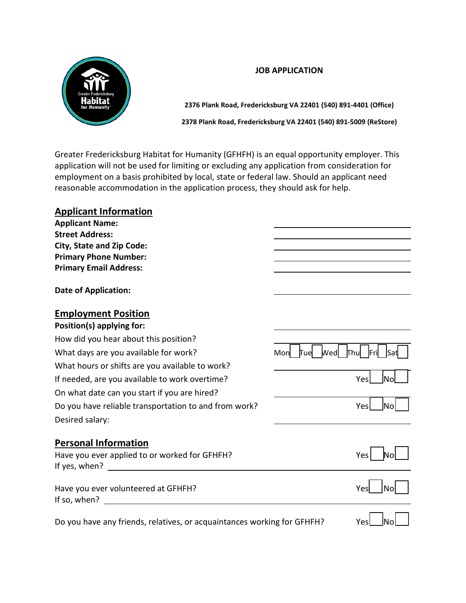### **JOB APPLICATION**



**2376 Plank Road, Fredericksburg VA 22401 (540) 891-4401 (Office) 2378 Plank Road, Fredericksburg VA 22401 (540) 891-5009 (ReStore)**

Greater Fredericksburg Habitat for Humanity (GFHFH) is an equal opportunity employer. This application will not be used for limiting or excluding any application from consideration for employment on a basis prohibited by local, state or federal law. Should an applicant need reasonable accommodation in the application process, they should ask for help.

| <b>Applicant Information</b>                                            |                                                           |
|-------------------------------------------------------------------------|-----------------------------------------------------------|
| <b>Applicant Name:</b>                                                  |                                                           |
| <b>Street Address:</b>                                                  |                                                           |
| <b>City, State and Zip Code:</b>                                        |                                                           |
| <b>Primary Phone Number:</b>                                            |                                                           |
| <b>Primary Email Address:</b>                                           |                                                           |
| <b>Date of Application:</b>                                             |                                                           |
| <b>Employment Position</b>                                              |                                                           |
| Position(s) applying for:                                               |                                                           |
| How did you hear about this position?                                   |                                                           |
| What days are you available for work?                                   | Wed<br>Thul<br><b>IFril</b><br><b>Sat</b><br>Mon<br>lTuel |
| What hours or shifts are you available to work?                         |                                                           |
| If needed, are you available to work overtime?                          | Yes<br>lNo                                                |
| On what date can you start if you are hired?                            |                                                           |
| Do you have reliable transportation to and from work?                   | <b>No</b><br>Yesl                                         |
| Desired salary:                                                         |                                                           |
| <b>Personal Information</b>                                             |                                                           |
| Have you ever applied to or worked for GFHFH?                           | Yes                                                       |
|                                                                         |                                                           |
| Have you ever volunteered at GFHFH?<br>If so, when? $\qquad \qquad$     | Yes<br>Nο                                                 |
|                                                                         |                                                           |
| Do you have any friends, relatives, or acquaintances working for GFHFH? | Yesl<br>lNo                                               |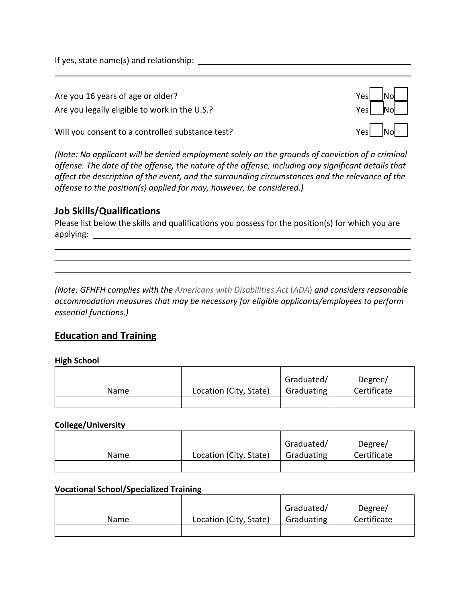If yes, state name(s) and relationship:

l

l

l

Are you 16 years of age or older? Are you if you have a set of a set of a set of a set of  $Yes$  No Are you legally eligible to work in the U.S.?  $\blacksquare$  Yes  $\blacksquare$  Yes  $\blacksquare$  No

Will you consent to a controlled substance test? Ves



*(Note: No applicant will be denied employment solely on the grounds of conviction of a criminal offense. The date of the offense, the nature of the offense, including any significant details that affect the description of the event, and the surrounding circumstances and the relevance of the offense to the position(s) applied for may, however, be considered.)*

### **Job Skills/Qualifications**

Please list below the skills and qualifications you possess for the position(s) for which you are applying:

*(Note: GFHFH complies with the Americans with Disabilities Act* (*ADA*) *and considers reasonable accommodation measures that may be necessary for eligible applicants/employees to perform essential functions.)*

# **Education and Training**

### **High School**

| Name | Location (City, State) | Graduated/<br>Graduating | Degree/<br>Certificate |
|------|------------------------|--------------------------|------------------------|
|      |                        |                          |                        |

### **College/University**

|      |                        | Graduated/ | Degree/     |
|------|------------------------|------------|-------------|
| Name | Location (City, State) | Graduating | Certificate |
|      |                        |            |             |

### **Vocational School/Specialized Training**

|             |                        | Graduated/ | Degree/     |
|-------------|------------------------|------------|-------------|
| <b>Name</b> | Location (City, State) | Graduating | Certificate |
|             |                        |            |             |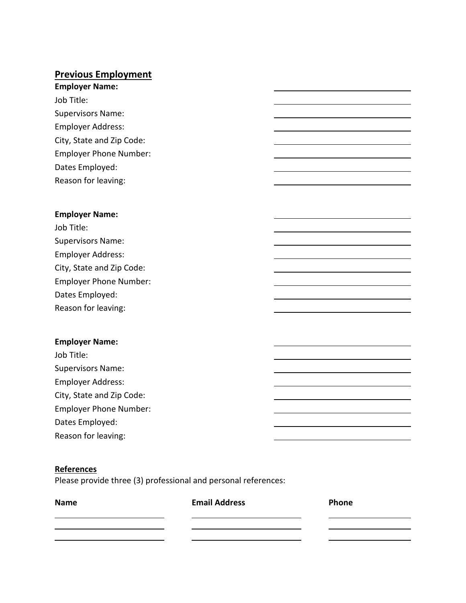## **Previous Employment**

**Employer Name:**  Job Title: Supervisors Name: Employer Address: City, State and Zip Code: Employer Phone Number: Dates Employed: Reason for leaving:

### **Employer Name:**

| Job Title:                    |
|-------------------------------|
| Supervisors Name:             |
| Employer Address:             |
| City, State and Zip Code:     |
| <b>Employer Phone Number:</b> |
| Dates Employed:               |
| Reason for leaving:           |

### **Employer Name:**

| Job Title:                    |  |
|-------------------------------|--|
|                               |  |
| <b>Supervisors Name:</b>      |  |
| <b>Employer Address:</b>      |  |
| City, State and Zip Code:     |  |
| <b>Employer Phone Number:</b> |  |
| Dates Employed:               |  |
| Reason for leaving:           |  |

### **References**

Please provide three (3) professional and personal references:

| <b>Name</b> | <b>Email Address</b> | Phone |
|-------------|----------------------|-------|
|             |                      |       |
|             |                      |       |